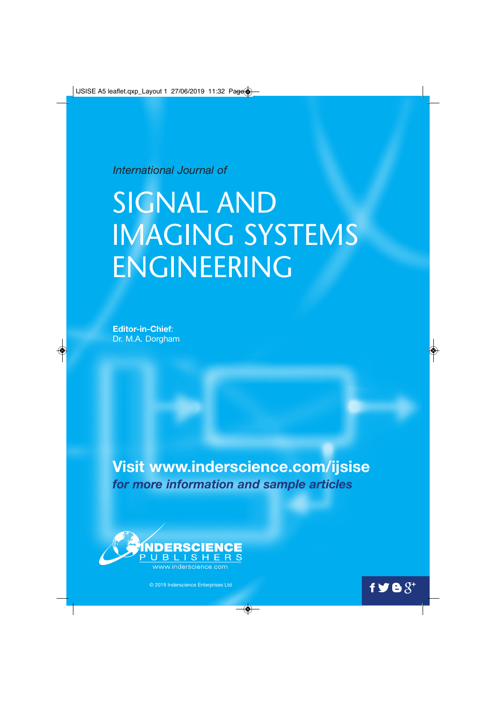$\vert$  IJSISE A5 leaflet.qxp\_Layout 1 27/06/2019 11:32 Page  $\clubsuit$ 

*International Journal of*

## SIGNAL AND IMAGING SYSTEMS ENGINEERING

**Editor-in-Chief**: Dr. M.A. Dorgham

♦

**Visit www.inderscience.com/ijsise** *for more information and sample articles*

 $\bigcirc$ 



© 2019 Inderscience Enterprises Ltd

 $f \blacktrianglerighteq \blacktrianglerighteq \varnothing^+$